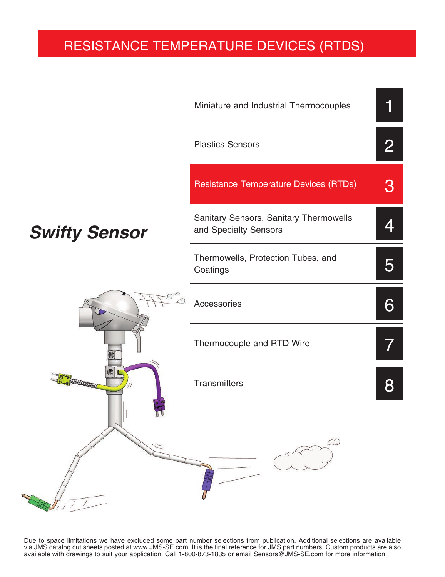## RESISTANCE TEMPERATURE DEVICES (RTDS)



Due to space limitations we have excluded some part number selections from publication. Additional selections are available via JMS catalog cut sheets posted at www.JMS-SE.com. It is the final reference for JMS part numbers. Custom products are also available with drawings to suit your application. Call 1-800-873-1835 or email Sensors@JMS-SE.com for more information.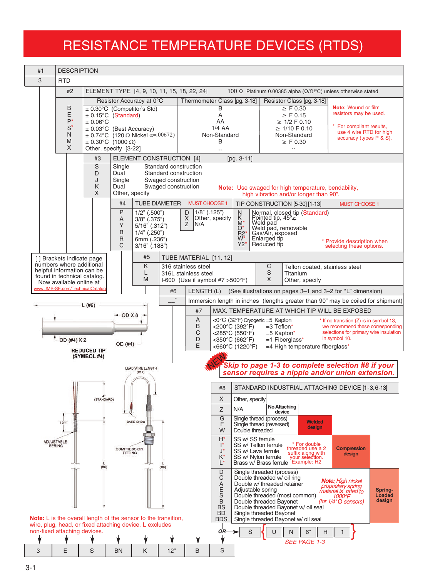## RESISTANCE TEMPERATURE DEVICES (RTDS)

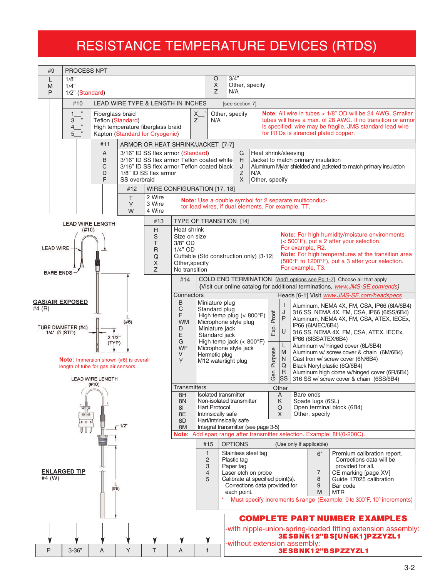## RESISTANCE TEMPERATURE DEVICES (RTDS)

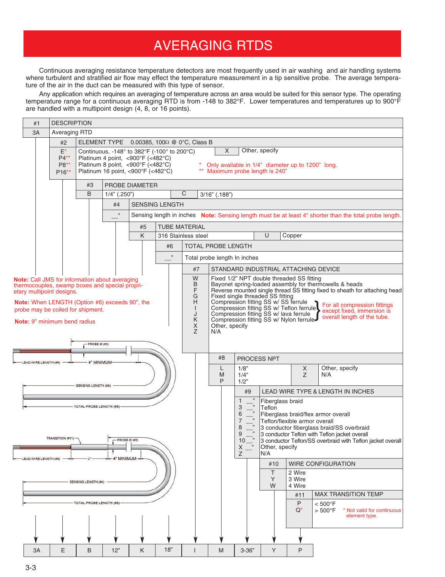# AVERAGING RTDS

Continuous averaging resistance temperature detectors are most frequently used in air washing and air handling systems where turbulent and stratified air flow may effect the temperature measurement in a tip sensitive probe. The average temperature of the air in the duct can be measured with this type of sensor.

Any application which requires an averaging of temperature across an area would be suited for this sensor type. The operating temperature range for a continuous averaging RTD is from -148 to 382°F. Lower temperatures and temperatures up to 900°F are handled with a multipoint design (4, 8, or 16 points).

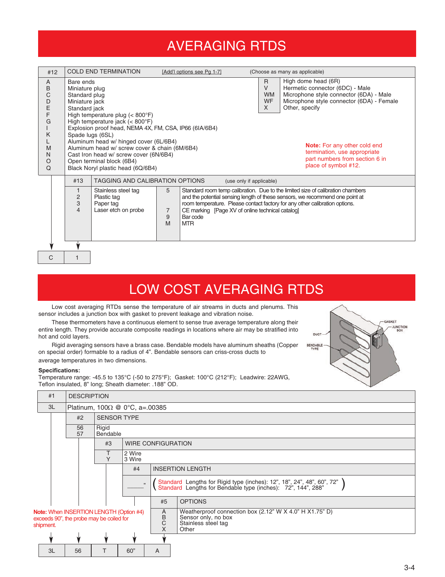# AVERAGING RTDS

| #12                                  |                                                                                 | <b>COLD END TERMINATION</b>                                                                                                                                                                                  |                  | [Add'l options see Pq 1-7]                                                 |                                                                                                                                                                                                  |  | (Choose as many as applicable)                                                                                                                                                                                                                 |
|--------------------------------------|---------------------------------------------------------------------------------|--------------------------------------------------------------------------------------------------------------------------------------------------------------------------------------------------------------|------------------|----------------------------------------------------------------------------|--------------------------------------------------------------------------------------------------------------------------------------------------------------------------------------------------|--|------------------------------------------------------------------------------------------------------------------------------------------------------------------------------------------------------------------------------------------------|
| A<br>B<br>С<br>D<br>E<br>F<br>G<br>Κ | Bare ends<br>Miniature plug<br>Standard plug<br>Miniature jack<br>Standard jack | High temperature plug $(< 800^{\circ}F)$<br>High temperature jack $(< 800^{\circ}F)$<br>Explosion proof head, NEMA 4X, FM, CSA, IP66 (6IA/6B4)<br>Spade lugs (6SL)<br>Aluminum head w/ hinged cover (6L/6B4) |                  | R<br>$\vee$<br><b>WM</b><br>WF<br>$\times$                                 | High dome head (6R)<br>Hermetic connector (6DC) - Male<br>Microphone style connector (6DA) - Male<br>Microphone style connector (6DA) - Female<br>Other, specify<br>Note: For any other cold end |  |                                                                                                                                                                                                                                                |
| M<br>N<br>O<br>Q                     |                                                                                 | Aluminum head w/ screw cover & chain (6M/6B4)<br>Cast Iron head w/ screw cover (6N/6B4)<br>Open terminal block (6B4)<br>Black Noryl plastic head (6Q/6B4)                                                    |                  |                                                                            |                                                                                                                                                                                                  |  | termination, use appropriate<br>part numbers from section 6 in<br>place of symbol #12.                                                                                                                                                         |
|                                      | #13                                                                             | <b>TAGGING AND CALIBRATION OPTIONS</b>                                                                                                                                                                       |                  |                                                                            | (use only if applicable)                                                                                                                                                                         |  |                                                                                                                                                                                                                                                |
|                                      | $\overline{c}$<br>3<br>$\overline{4}$                                           | Stainless steel tag<br>Plastic tag<br>Paper tag<br>Laser etch on probe                                                                                                                                       | 5<br>7<br>9<br>M | CE marking [Page XV of online technical catalog]<br>Bar code<br><b>MTR</b> |                                                                                                                                                                                                  |  | Standard room temp calibration. Due to the limited size of calibration chambers<br>and the potential sensing length of these sensors, we recommend one point at<br>room temperature. Please contact factory for any other calibration options. |
| С                                    |                                                                                 |                                                                                                                                                                                                              |                  |                                                                            |                                                                                                                                                                                                  |  |                                                                                                                                                                                                                                                |

## LOW COST AVERAGING RTDS

Low cost averaging RTDs sense the temperature of air streams in ducts and plenums. This sensor includes a junction box with gasket to prevent leakage and vibration noise.

These thermometers have a continuous element to sense true average temperature along their entire length. They provide accurate composite readings in locations where air may be stratified into hot and cold layers.

Rigid averaging sensors have a brass case. Bendable models have aluminum sheaths (Copper on special order) formable to a radius of 4". Bendable sensors can criss-cross ducts to average temperatures in two dimensions.

#### **Specifications:**

Temperature range: -45.5 to 135°C (-50 to 275°F); Gasket: 100°C (212°F); Leadwire: 22AWG, Teflon insulated, 8" long; Sheath diameter: .188" OD.



|                                                                                                         | #1 | <b>DESCRIPTION</b>              |                    |   |     |                              |                                                                                                                                        |  |  |
|---------------------------------------------------------------------------------------------------------|----|---------------------------------|--------------------|---|-----|------------------------------|----------------------------------------------------------------------------------------------------------------------------------------|--|--|
|                                                                                                         | 3L | Platinum, 100Ω @ 0°C, a=.00385  |                    |   |     |                              |                                                                                                                                        |  |  |
|                                                                                                         |    | #2                              | <b>SENSOR TYPE</b> |   |     |                              |                                                                                                                                        |  |  |
|                                                                                                         |    | Rigid<br>56<br>57<br>Bendable   |                    |   |     |                              |                                                                                                                                        |  |  |
|                                                                                                         |    | <b>WIRE CONFIGURATION</b><br>#3 |                    |   |     |                              |                                                                                                                                        |  |  |
| 2 Wire<br>Y<br>3 Wire                                                                                   |    |                                 |                    |   |     |                              |                                                                                                                                        |  |  |
|                                                                                                         |    |                                 |                    |   | #4  |                              | <b>INSERTION LENGTH</b>                                                                                                                |  |  |
|                                                                                                         |    |                                 |                    |   |     | $\overline{1}$               | Standard Lengths for Rigid type (inches): 12", 18", 24", 48", 60", 72"<br>Standard Lengths for Bendable type (inches): 72", 144", 288" |  |  |
|                                                                                                         |    |                                 |                    |   |     | #5                           | <b>OPTIONS</b>                                                                                                                         |  |  |
| <b>Note:</b> When INSERTION LENGTH (Option #4)<br>exceeds 90", the probe may be coiled for<br>shipment. |    |                                 |                    |   |     | A<br>$_{\rm C}^{\rm B}$<br>X | Weatherproof connection box (2.12" W X 4.0" H X1.75" D)<br>Sensor only, no box<br>Stainless steel tag<br>Other                         |  |  |
|                                                                                                         |    |                                 |                    |   |     |                              |                                                                                                                                        |  |  |
|                                                                                                         | 3L | 56                              |                    | T | 60" | A                            |                                                                                                                                        |  |  |